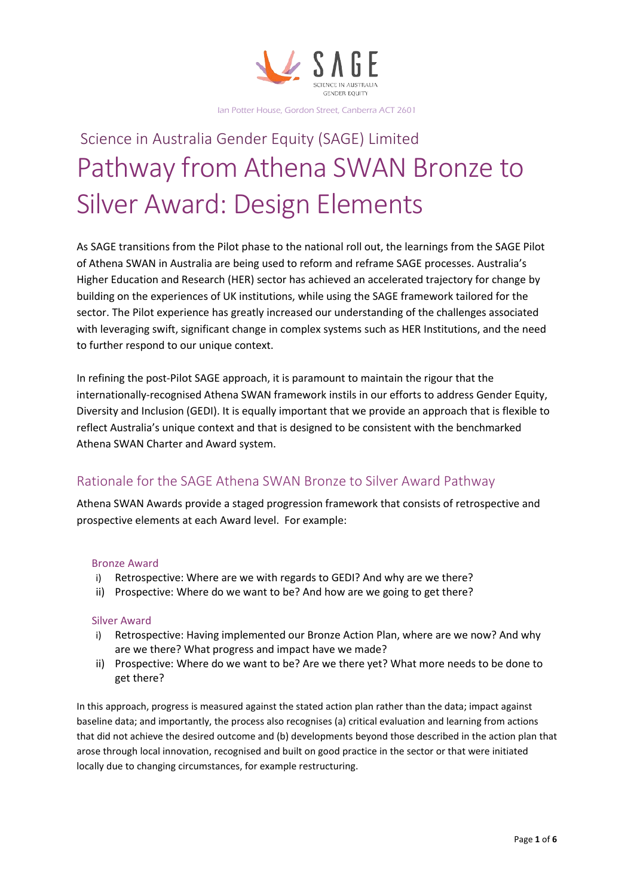

# Science in Australia Gender Equity (SAGE) Limited Pathway from Athena SWAN Bronze to Silver Award: Design Elements

As SAGE transitions from the Pilot phase to the national roll out, the learnings from the SAGE Pilot of Athena SWAN in Australia are being used to reform and reframe SAGE processes. Australia's Higher Education and Research (HER) sector has achieved an accelerated trajectory for change by building on the experiences of UK institutions, while using the SAGE framework tailored for the sector. The Pilot experience has greatly increased our understanding of the challenges associated with leveraging swift, significant change in complex systems such as HER Institutions, and the need to further respond to our unique context.

In refining the post-Pilot SAGE approach, it is paramount to maintain the rigour that the internationally-recognised Athena SWAN framework instils in our efforts to address Gender Equity, Diversity and Inclusion (GEDI). It is equally important that we provide an approach that is flexible to reflect Australia's unique context and that is designed to be consistent with the benchmarked Athena SWAN Charter and Award system.

## Rationale for the SAGE Athena SWAN Bronze to Silver Award Pathway

Athena SWAN Awards provide a staged progression framework that consists of retrospective and prospective elements at each Award level. For example:

#### Bronze Award

- i) Retrospective: Where are we with regards to GEDI? And why are we there?
- ii) Prospective: Where do we want to be? And how are we going to get there?

#### Silver Award

- i) Retrospective: Having implemented our Bronze Action Plan, where are we now? And why are we there? What progress and impact have we made?
- ii) Prospective: Where do we want to be? Are we there yet? What more needs to be done to get there?

In this approach, progress is measured against the stated action plan rather than the data; impact against baseline data; and importantly, the process also recognises (a) critical evaluation and learning from actions that did not achieve the desired outcome and (b) developments beyond those described in the action plan that arose through local innovation, recognised and built on good practice in the sector or that were initiated locally due to changing circumstances, for example restructuring.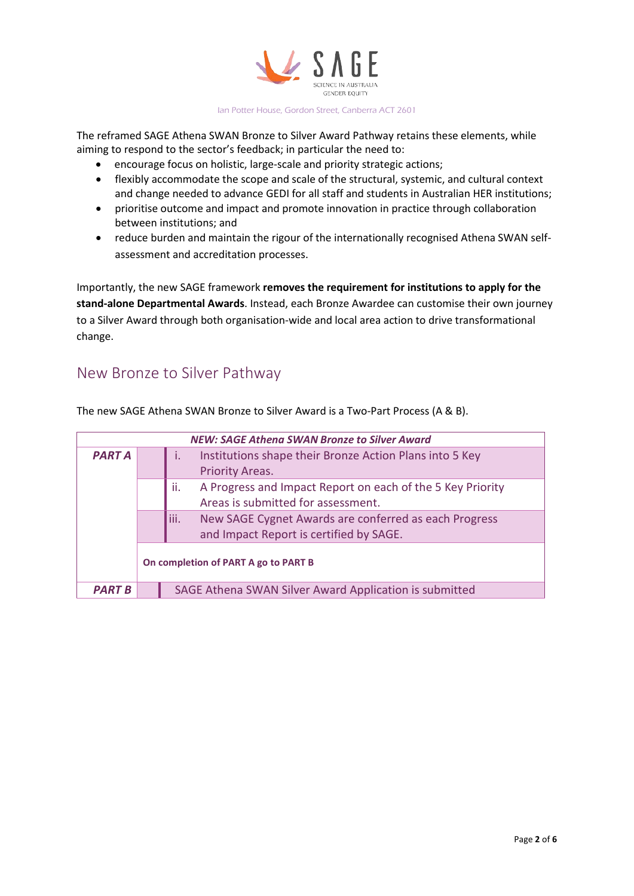

The reframed SAGE Athena SWAN Bronze to Silver Award Pathway retains these elements, while aiming to respond to the sector's feedback; in particular the need to:

- encourage focus on holistic, large-scale and priority strategic actions;
- flexibly accommodate the scope and scale of the structural, systemic, and cultural context and change needed to advance GEDI for all staff and students in Australian HER institutions;
- prioritise outcome and impact and promote innovation in practice through collaboration between institutions; and
- reduce burden and maintain the rigour of the internationally recognised Athena SWAN selfassessment and accreditation processes.

Importantly, the new SAGE framework **removes the requirement for institutions to apply for the stand-alone Departmental Awards**. Instead, each Bronze Awardee can customise their own journey to a Silver Award through both organisation-wide and local area action to drive transformational change.

# New Bronze to Silver Pathway

| <b>NEW: SAGE Athena SWAN Bronze to Silver Award</b> |                                      |                                                                   |  |  |
|-----------------------------------------------------|--------------------------------------|-------------------------------------------------------------------|--|--|
| <b>PART A</b>                                       |                                      | Institutions shape their Bronze Action Plans into 5 Key           |  |  |
|                                                     |                                      | <b>Priority Areas.</b>                                            |  |  |
|                                                     |                                      | A Progress and Impact Report on each of the 5 Key Priority<br>ii. |  |  |
|                                                     |                                      | Areas is submitted for assessment.                                |  |  |
|                                                     |                                      | liii.<br>New SAGE Cygnet Awards are conferred as each Progress    |  |  |
|                                                     |                                      | and Impact Report is certified by SAGE.                           |  |  |
|                                                     | On completion of PART A go to PART B |                                                                   |  |  |
| PART B                                              |                                      | SAGE Athena SWAN Silver Award Application is submitted            |  |  |

The new SAGE Athena SWAN Bronze to Silver Award is a Two-Part Process (A & B).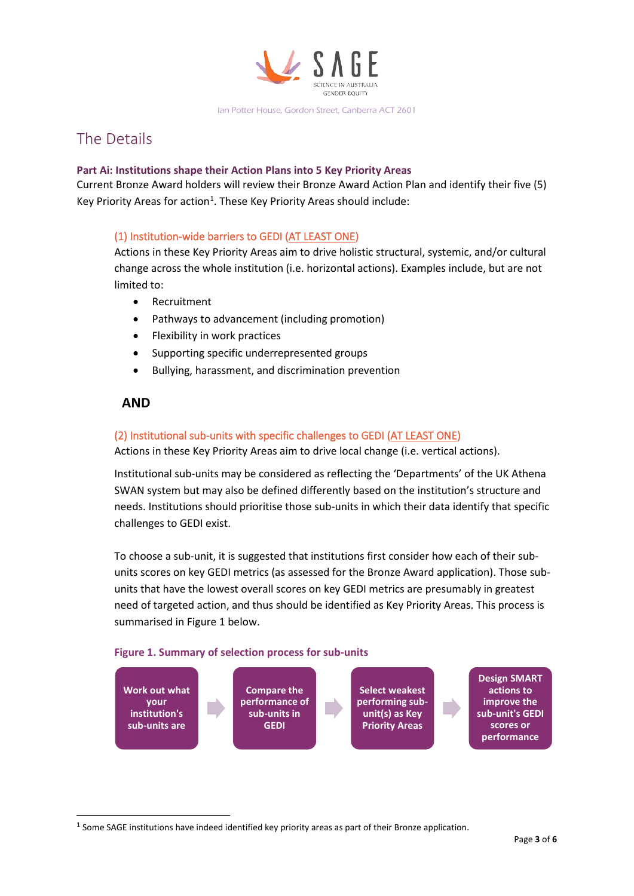

# The Details

#### **Part Ai: Institutions shape their Action Plans into 5 Key Priority Areas**

Current Bronze Award holders will review their Bronze Award Action Plan and identify their five (5) Key Priority Areas for action<sup>[1](#page-2-0)</sup>. These Key Priority Areas should include:

#### (1) Institution-wide barriers to GEDI (AT LEAST ONE)

Actions in these Key Priority Areas aim to drive holistic structural, systemic, and/or cultural change across the whole institution (i.e. horizontal actions). Examples include, but are not limited to:

- Recruitment
- Pathways to advancement (including promotion)
- Flexibility in work practices
- Supporting specific underrepresented groups
- Bullying, harassment, and discrimination prevention

### **AND**

#### (2) Institutional sub-units with specific challenges to GEDI (AT LEAST ONE)

Actions in these Key Priority Areas aim to drive local change (i.e. vertical actions).

Institutional sub-units may be considered as reflecting the 'Departments' of the UK Athena SWAN system but may also be defined differently based on the institution's structure and needs. Institutions should prioritise those sub-units in which their data identify that specific challenges to GEDI exist.

To choose a sub-unit, it is suggested that institutions first consider how each of their subunits scores on key GEDI metrics (as assessed for the Bronze Award application). Those subunits that have the lowest overall scores on key GEDI metrics are presumably in greatest need of targeted action, and thus should be identified as Key Priority Areas. This process is summarised in Figure 1 below.

#### **Figure 1. Summary of selection process for sub-units**



<span id="page-2-0"></span> $1$  Some SAGE institutions have indeed identified key priority areas as part of their Bronze application.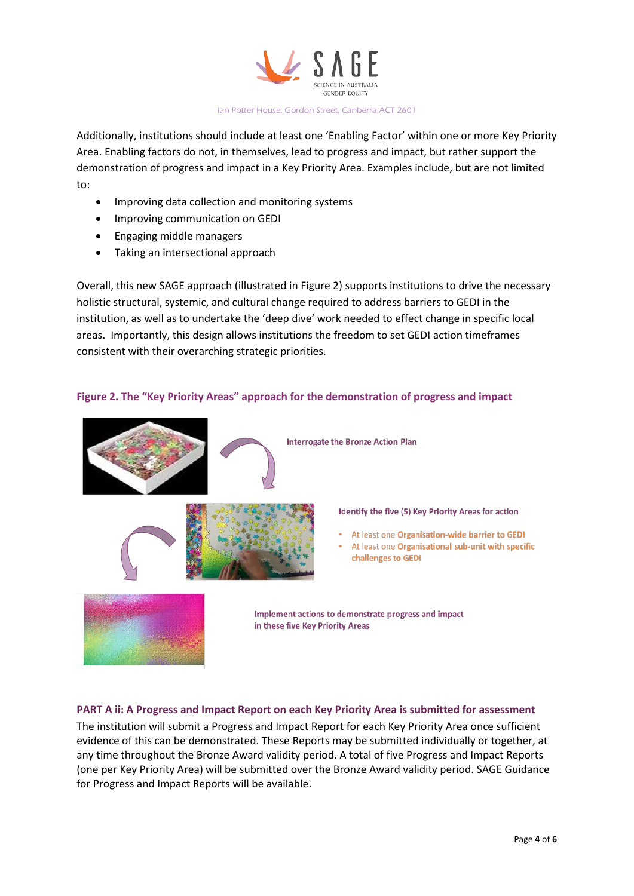

Additionally, institutions should include at least one 'Enabling Factor' within one or more Key Priority Area. Enabling factors do not, in themselves, lead to progress and impact, but rather support the demonstration of progress and impact in a Key Priority Area. Examples include, but are not limited to:

- Improving data collection and monitoring systems
- Improving communication on GEDI
- Engaging middle managers
- Taking an intersectional approach

Overall, this new SAGE approach (illustrated in Figure 2) supports institutions to drive the necessary holistic structural, systemic, and cultural change required to address barriers to GEDI in the institution, as well as to undertake the 'deep dive' work needed to effect change in specific local areas. Importantly, this design allows institutions the freedom to set GEDI action timeframes consistent with their overarching strategic priorities.

#### **Figure 2. The "Key Priority Areas" approach for the demonstration of progress and impact**



challenges to GEDI

# **PART A ii: A Progress and Impact Report on each Key Priority Area is submitted for assessment**

The institution will submit a Progress and Impact Report for each Key Priority Area once sufficient evidence of this can be demonstrated. These Reports may be submitted individually or together, at any time throughout the Bronze Award validity period. A total of five Progress and Impact Reports (one per Key Priority Area) will be submitted over the Bronze Award validity period. SAGE Guidance for Progress and Impact Reports will be available.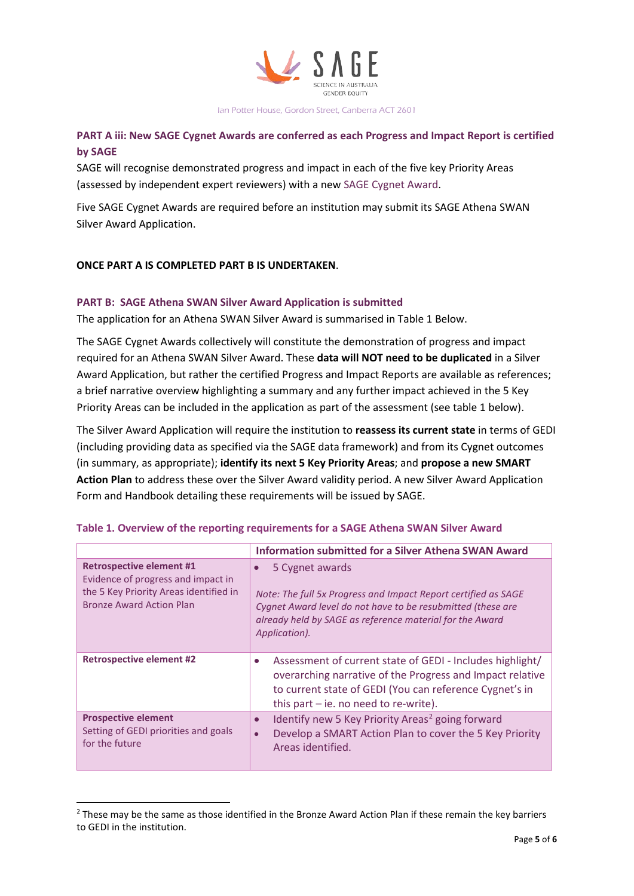

### **PART A iii: New SAGE Cygnet Awards are conferred as each Progress and Impact Report is certified by SAGE**

SAGE will recognise demonstrated progress and impact in each of the five key Priority Areas (assessed by independent expert reviewers) with a new SAGE Cygnet Award.

Five SAGE Cygnet Awards are required before an institution may submit its SAGE Athena SWAN Silver Award Application.

#### **ONCE PART A IS COMPLETED PART B IS UNDERTAKEN**.

#### **PART B: SAGE Athena SWAN Silver Award Application is submitted**

The application for an Athena SWAN Silver Award is summarised in Table 1 Below.

The SAGE Cygnet Awards collectively will constitute the demonstration of progress and impact required for an Athena SWAN Silver Award. These **data will NOT need to be duplicated** in a Silver Award Application, but rather the certified Progress and Impact Reports are available as references; a brief narrative overview highlighting a summary and any further impact achieved in the 5 Key Priority Areas can be included in the application as part of the assessment (see table 1 below).

The Silver Award Application will require the institution to **reassess its current state** in terms of GEDI (including providing data as specified via the SAGE data framework) and from its Cygnet outcomes (in summary, as appropriate); **identify its next 5 Key Priority Areas**; and **propose a new SMART Action Plan** to address these over the Silver Award validity period. A new Silver Award Application Form and Handbook detailing these requirements will be issued by SAGE.

|                                                                                                                                                    | <b>Information submitted for a Silver Athena SWAN Award</b>                                                                                                                                                                                |
|----------------------------------------------------------------------------------------------------------------------------------------------------|--------------------------------------------------------------------------------------------------------------------------------------------------------------------------------------------------------------------------------------------|
| <b>Retrospective element #1</b><br>Evidence of progress and impact in<br>the 5 Key Priority Areas identified in<br><b>Bronze Award Action Plan</b> | 5 Cygnet awards<br>$\bullet$<br>Note: The full 5x Progress and Impact Report certified as SAGE<br>Cygnet Award level do not have to be resubmitted (these are<br>already held by SAGE as reference material for the Award<br>Application). |
| <b>Retrospective element #2</b>                                                                                                                    | Assessment of current state of GEDI - Includes highlight/<br>$\bullet$<br>overarching narrative of the Progress and Impact relative<br>to current state of GEDI (You can reference Cygnet's in<br>this part $-$ ie. no need to re-write).  |
| <b>Prospective element</b><br>Setting of GEDI priorities and goals<br>for the future                                                               | Identify new 5 Key Priority Areas <sup>2</sup> going forward<br>$\bullet$<br>Develop a SMART Action Plan to cover the 5 Key Priority<br>$\bullet$<br>Areas identified.                                                                     |

#### **Table 1. Overview of the reporting requirements for a SAGE Athena SWAN Silver Award**

<span id="page-4-0"></span><sup>&</sup>lt;sup>2</sup> These may be the same as those identified in the Bronze Award Action Plan if these remain the key barriers to GEDI in the institution.